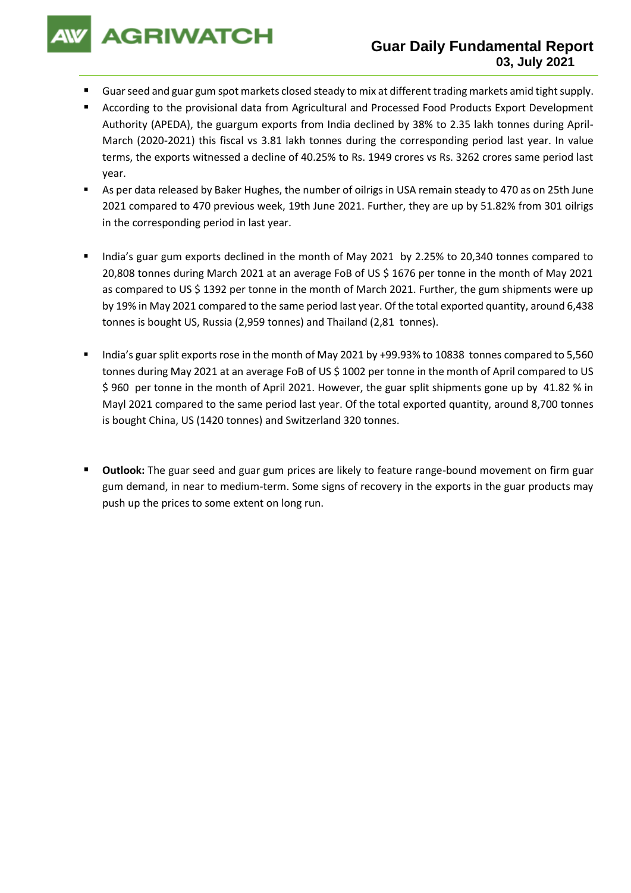**AGRIWATCH** 

## **Guar Daily Fundamental Report 03, July 2021**

- Guar seed and guar gum spot markets closed steady to mix at different trading markets amid tight supply.
- According to the provisional data from Agricultural and Processed Food Products Export Development Authority (APEDA), the guargum exports from India declined by 38% to 2.35 lakh tonnes during April-March (2020-2021) this fiscal vs 3.81 lakh tonnes during the corresponding period last year. In value terms, the exports witnessed a decline of 40.25% to Rs. 1949 crores vs Rs. 3262 crores same period last year.
- As per data released by Baker Hughes, the number of oilrigs in USA remain steady to 470 as on 25th June 2021 compared to 470 previous week, 19th June 2021. Further, they are up by 51.82% from 301 oilrigs in the corresponding period in last year.
- India's guar gum exports declined in the month of May 2021 by 2.25% to 20,340 tonnes compared to 20,808 tonnes during March 2021 at an average FoB of US \$ 1676 per tonne in the month of May 2021 as compared to US \$ 1392 per tonne in the month of March 2021. Further, the gum shipments were up by 19% in May 2021 compared to the same period last year. Of the total exported quantity, around 6,438 tonnes is bought US, Russia (2,959 tonnes) and Thailand (2,81 tonnes).
- India's guar split exports rose in the month of May 2021 by +99.93% to 10838 tonnes compared to 5,560 tonnes during May 2021 at an average FoB of US \$ 1002 per tonne in the month of April compared to US \$ 960 per tonne in the month of April 2021. However, the guar split shipments gone up by 41.82 % in Mayl 2021 compared to the same period last year. Of the total exported quantity, around 8,700 tonnes is bought China, US (1420 tonnes) and Switzerland 320 tonnes.
- **Outlook:** The guar seed and guar gum prices are likely to feature range-bound movement on firm guar gum demand, in near to medium-term. Some signs of recovery in the exports in the guar products may push up the prices to some extent on long run.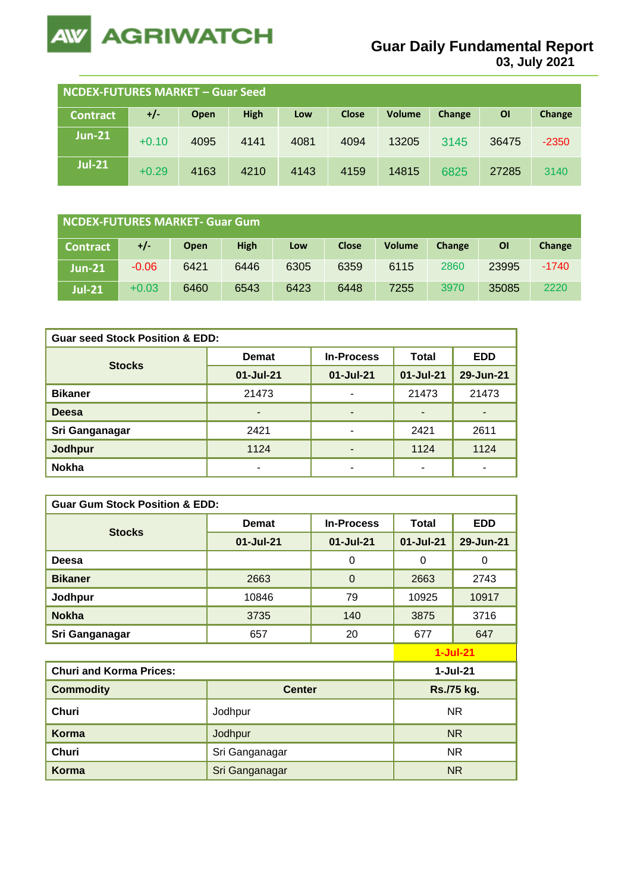

**03, July 2021**

| NCDEX-FUTURES MARKET - Guar Seed |         |      |             |      |              |        |        |           |         |
|----------------------------------|---------|------|-------------|------|--------------|--------|--------|-----------|---------|
| <b>Contract</b>                  | $+/-$   | Open | <b>High</b> | Low  | <b>Close</b> | Volume | Change | <b>OI</b> | Change  |
| <b>Jun-21</b>                    | $+0.10$ | 4095 | 4141        | 4081 | 4094         | 13205  | 3145   | 36475     | $-2350$ |
| <b>Jul-21</b>                    | $+0.29$ | 4163 | 4210        | 4143 | 4159         | 14815  | 6825   | 27285     | 3140    |

| NCDEX-FUTURES MARKET- Guar Gum |         |      |             |      |              |               |        |           |         |
|--------------------------------|---------|------|-------------|------|--------------|---------------|--------|-----------|---------|
| <b>Contract</b>                | +/-     | Open | <b>High</b> | Low  | <b>Close</b> | <b>Volume</b> | Change | <b>OI</b> | Change  |
| $Jun-21$                       | $-0.06$ | 6421 | 6446        | 6305 | 6359         | 6115          | 2860   | 23995     | $-1740$ |
| <b>Jul-21</b>                  | $+0.03$ | 6460 | 6543        | 6423 | 6448         | 7255          | 3970   | 35085     | 2220    |

| <b>Guar seed Stock Position &amp; EDD:</b> |                                   |           |              |                          |  |  |  |  |
|--------------------------------------------|-----------------------------------|-----------|--------------|--------------------------|--|--|--|--|
| <b>Stocks</b>                              | <b>In-Process</b><br><b>Demat</b> |           | <b>Total</b> | <b>EDD</b>               |  |  |  |  |
|                                            | 01-Jul-21                         | 01-Jul-21 | $01-Jul-21$  | 29-Jun-21                |  |  |  |  |
| <b>Bikaner</b>                             | 21473                             | ۰         | 21473        | 21473                    |  |  |  |  |
| <b>Deesa</b>                               | -                                 | ٠         |              | ۰                        |  |  |  |  |
| Sri Ganganagar                             | 2421                              | ۰         | 2421         | 2611                     |  |  |  |  |
| <b>Jodhpur</b>                             | 1124                              | ٠         | 1124         | 1124                     |  |  |  |  |
| <b>Nokha</b>                               |                                   | ۰         | -            | $\overline{\phantom{0}}$ |  |  |  |  |

| <b>Guar Gum Stock Position &amp; EDD:</b> |                |                   |              |                |  |  |  |  |
|-------------------------------------------|----------------|-------------------|--------------|----------------|--|--|--|--|
|                                           | <b>Demat</b>   | <b>In-Process</b> | <b>Total</b> | <b>EDD</b>     |  |  |  |  |
| <b>Stocks</b>                             | 01-Jul-21      | $01 -$ Jul $-21$  | $01$ -Jul-21 | 29-Jun-21      |  |  |  |  |
| Deesa                                     |                | $\mathbf 0$       | 0            | $\Omega$       |  |  |  |  |
| <b>Bikaner</b>                            | 2663           | $\mathbf 0$       | 2663         | 2743           |  |  |  |  |
| Jodhpur                                   | 10846          | 79                | 10925        | 10917          |  |  |  |  |
| <b>Nokha</b>                              | 3735           | 140               | 3875         | 3716           |  |  |  |  |
| Sri Ganganagar                            | 657            | 20                | 677          | 647            |  |  |  |  |
|                                           | $1-Jul-21$     |                   |              |                |  |  |  |  |
| <b>Churi and Korma Prices:</b>            |                |                   |              | $1-Jul-21$     |  |  |  |  |
| <b>Commodity</b>                          | <b>Center</b>  |                   | Rs./75 kg.   |                |  |  |  |  |
| <b>Churi</b>                              | Jodhpur        | <b>NR</b>         |              |                |  |  |  |  |
| Korma                                     | Jodhpur        | N <sub>R</sub>    |              |                |  |  |  |  |
| Churi                                     | Sri Ganganagar | NR.               |              |                |  |  |  |  |
| <b>Korma</b>                              | Sri Ganganagar |                   |              | N <sub>R</sub> |  |  |  |  |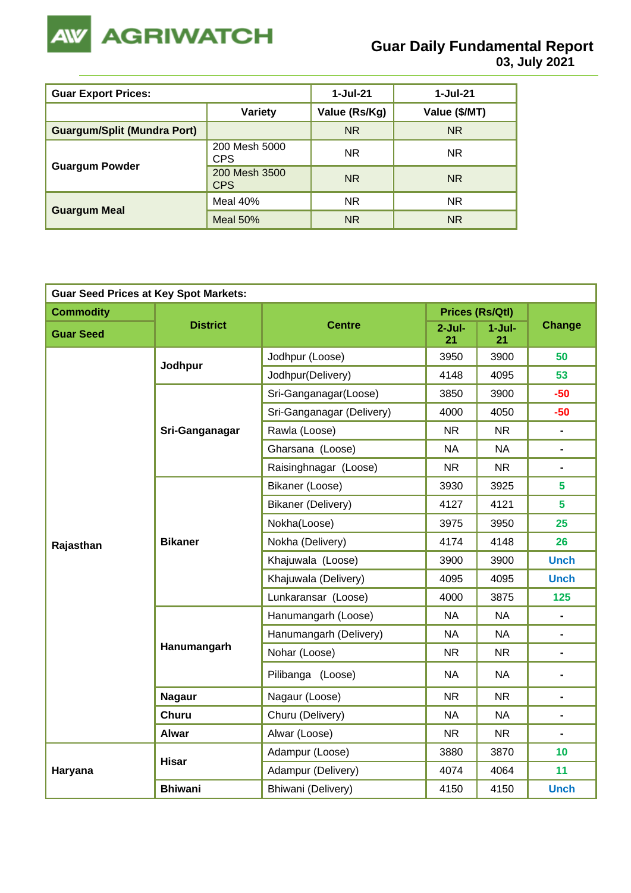

**03, July 2021**

| <b>Guar Export Prices:</b>         |                             | $1-Jul-21$    | 1-Jul-21       |
|------------------------------------|-----------------------------|---------------|----------------|
|                                    | <b>Variety</b>              | Value (Rs/Kg) | Value (\$/MT)  |
| <b>Guargum/Split (Mundra Port)</b> |                             | <b>NR</b>     | <b>NR</b>      |
|                                    | 200 Mesh 5000<br>CPS        | <b>NR</b>     | NR.            |
| <b>Guargum Powder</b>              | 200 Mesh 3500<br><b>CPS</b> | <b>NR</b>     | N <sub>R</sub> |
|                                    | Meal $40%$                  | <b>NR</b>     | <b>NR</b>      |
| <b>Guargum Meal</b>                | Meal $50%$                  | <b>NR</b>     | <b>NR</b>      |

| <b>Guar Seed Prices at Key Spot Markets:</b> |                 |                           |                |                        |                |  |  |  |
|----------------------------------------------|-----------------|---------------------------|----------------|------------------------|----------------|--|--|--|
| <b>Commodity</b>                             |                 |                           |                | <b>Prices (Rs/Qtl)</b> | Change         |  |  |  |
| <b>Guar Seed</b>                             | <b>District</b> | <b>Centre</b>             | $2-Jul-$<br>21 | $1-Jul-$<br>21         |                |  |  |  |
|                                              |                 | Jodhpur (Loose)           | 3950           | 3900                   | 50             |  |  |  |
|                                              | Jodhpur         | Jodhpur(Delivery)         | 4148           | 4095                   | 53             |  |  |  |
|                                              |                 | Sri-Ganganagar(Loose)     | 3850           | 3900                   | $-50$          |  |  |  |
|                                              |                 | Sri-Ganganagar (Delivery) | 4000           | 4050                   | $-50$          |  |  |  |
|                                              | Sri-Ganganagar  | Rawla (Loose)             | <b>NR</b>      | $\blacksquare$         |                |  |  |  |
|                                              |                 | Gharsana (Loose)          | <b>NA</b>      | <b>NA</b>              | Ξ.             |  |  |  |
|                                              |                 | Raisinghnagar (Loose)     | <b>NR</b>      | N <sub>R</sub>         | Ξ.             |  |  |  |
|                                              |                 | Bikaner (Loose)           | 3930           | 3925                   | 5              |  |  |  |
|                                              |                 | Bikaner (Delivery)        | 4127           | 4121                   | 5              |  |  |  |
|                                              |                 | Nokha(Loose)              | 3975           | 3950                   | 25             |  |  |  |
| Rajasthan                                    | <b>Bikaner</b>  | Nokha (Delivery)          | 4174           | 4148                   | 26             |  |  |  |
|                                              |                 | Khajuwala (Loose)         | 3900           | 3900                   | <b>Unch</b>    |  |  |  |
|                                              |                 | Khajuwala (Delivery)      | 4095           | 4095                   | <b>Unch</b>    |  |  |  |
|                                              |                 | Lunkaransar (Loose)       | 4000           | 125                    |                |  |  |  |
|                                              |                 | Hanumangarh (Loose)       | <b>NA</b>      | <b>NA</b>              | $\blacksquare$ |  |  |  |
|                                              |                 | Hanumangarh (Delivery)    | <b>NA</b>      | <b>NA</b>              |                |  |  |  |
|                                              | Hanumangarh     | Nohar (Loose)             | <b>NR</b>      | <b>NR</b>              | $\blacksquare$ |  |  |  |
|                                              |                 | Pilibanga (Loose)         | <b>NA</b>      | <b>NA</b>              |                |  |  |  |
|                                              | <b>Nagaur</b>   | Nagaur (Loose)            | <b>NR</b>      | <b>NR</b>              |                |  |  |  |
|                                              | <b>Churu</b>    | Churu (Delivery)          | <b>NA</b>      | <b>NA</b>              | -              |  |  |  |
|                                              | <b>Alwar</b>    | Alwar (Loose)             | <b>NR</b>      | <b>NR</b>              | $\blacksquare$ |  |  |  |
|                                              | <b>Hisar</b>    | Adampur (Loose)           | 3880           | 3870                   | 10             |  |  |  |
| Haryana                                      |                 | Adampur (Delivery)        | 4074           | 4064                   | 11             |  |  |  |
|                                              | <b>Bhiwani</b>  | Bhiwani (Delivery)        | 4150           | 4150                   | <b>Unch</b>    |  |  |  |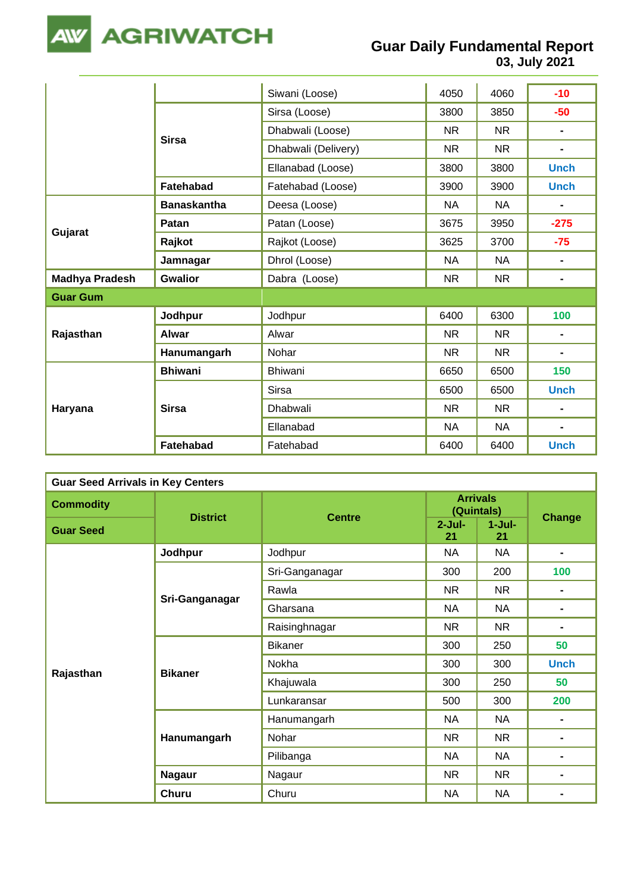

**03, July 2021**

|                       |                    | Siwani (Loose)      | 4050      | 4060      | $-10$          |
|-----------------------|--------------------|---------------------|-----------|-----------|----------------|
|                       | <b>Sirsa</b>       | Sirsa (Loose)       | 3800      | 3850      | $-50$          |
|                       |                    | Dhabwali (Loose)    | <b>NR</b> | <b>NR</b> | $\blacksquare$ |
|                       |                    | Dhabwali (Delivery) | <b>NR</b> | <b>NR</b> | $\blacksquare$ |
|                       |                    | Ellanabad (Loose)   | 3800      | 3800      | <b>Unch</b>    |
|                       | <b>Fatehabad</b>   | Fatehabad (Loose)   | 3900      | 3900      | <b>Unch</b>    |
|                       | <b>Banaskantha</b> | Deesa (Loose)       | <b>NA</b> | <b>NA</b> | $\blacksquare$ |
|                       | Patan              | Patan (Loose)       | 3675      | 3950      | $-275$         |
| Gujarat               | Rajkot             | Rajkot (Loose)      | 3625      | 3700      | $-75$          |
|                       | Jamnagar           | Dhrol (Loose)       | <b>NA</b> | <b>NA</b> | $\blacksquare$ |
| <b>Madhya Pradesh</b> | <b>Gwalior</b>     | Dabra (Loose)       | <b>NR</b> | <b>NR</b> | $\blacksquare$ |
| <b>Guar Gum</b>       |                    |                     |           |           |                |
|                       | Jodhpur            | Jodhpur             | 6400      | 6300      | 100            |
| Rajasthan             | <b>Alwar</b>       | Alwar               | <b>NR</b> | <b>NR</b> | $\blacksquare$ |
|                       | Hanumangarh        | Nohar               | NR.       | <b>NR</b> | $\blacksquare$ |
|                       | <b>Bhiwani</b>     | Bhiwani             | 6650      | 6500      | 150            |
| Haryana               |                    | Sirsa               | 6500      | 6500      | <b>Unch</b>    |
|                       | <b>Sirsa</b>       | Dhabwali            | <b>NR</b> | <b>NR</b> | $\blacksquare$ |
|                       |                    | Ellanabad           | <b>NA</b> | <b>NA</b> | $\blacksquare$ |
|                       | Fatehabad          | Fatehabad           | 6400      | 6400      | <b>Unch</b>    |

| <b>Guar Seed Arrivals in Key Centers</b> |                 |                |                               |                                                                                                                                                                                                                                                          |     |  |  |
|------------------------------------------|-----------------|----------------|-------------------------------|----------------------------------------------------------------------------------------------------------------------------------------------------------------------------------------------------------------------------------------------------------|-----|--|--|
| <b>Commodity</b>                         | <b>District</b> | <b>Centre</b>  | <b>Arrivals</b><br>(Quintals) |                                                                                                                                                                                                                                                          |     |  |  |
| <b>Guar Seed</b>                         |                 |                | $2-Jul-$<br>21                | $1-Jul-$<br>21                                                                                                                                                                                                                                           |     |  |  |
|                                          | Jodhpur         | Jodhpur        | <b>NA</b>                     | <b>NA</b>                                                                                                                                                                                                                                                |     |  |  |
|                                          |                 | Sri-Ganganagar | 300                           | 200                                                                                                                                                                                                                                                      | 100 |  |  |
|                                          |                 | Rawla          | NR.                           | Change<br>NR.<br>$\blacksquare$<br><b>NA</b><br>$\blacksquare$<br><b>NR</b><br>$\blacksquare$<br>250<br>50<br>300<br><b>Unch</b><br>250<br>50<br>300<br>200<br><b>NA</b><br>$\blacksquare$<br><b>NR</b><br>$\blacksquare$<br><b>NA</b><br>$\blacksquare$ |     |  |  |
|                                          | Sri-Ganganagar  | Gharsana       | <b>NA</b>                     |                                                                                                                                                                                                                                                          |     |  |  |
|                                          |                 | Raisinghnagar  | <b>NR</b>                     |                                                                                                                                                                                                                                                          |     |  |  |
|                                          | <b>Bikaner</b>  | <b>Bikaner</b> | 300                           |                                                                                                                                                                                                                                                          |     |  |  |
|                                          |                 | Nokha          | 300                           |                                                                                                                                                                                                                                                          |     |  |  |
| Rajasthan                                |                 | Khajuwala      | 300                           |                                                                                                                                                                                                                                                          | -   |  |  |
|                                          |                 | Lunkaransar    | 500                           |                                                                                                                                                                                                                                                          |     |  |  |
|                                          | Hanumangarh     | Hanumangarh    | NA                            |                                                                                                                                                                                                                                                          |     |  |  |
|                                          |                 | Nohar          | <b>NR</b>                     |                                                                                                                                                                                                                                                          |     |  |  |
|                                          |                 | Pilibanga      | <b>NA</b>                     |                                                                                                                                                                                                                                                          |     |  |  |
|                                          | <b>Nagaur</b>   | Nagaur         | <b>NR</b>                     | <b>NR</b>                                                                                                                                                                                                                                                |     |  |  |
|                                          | <b>Churu</b>    | Churu          | <b>NA</b>                     | <b>NA</b>                                                                                                                                                                                                                                                |     |  |  |